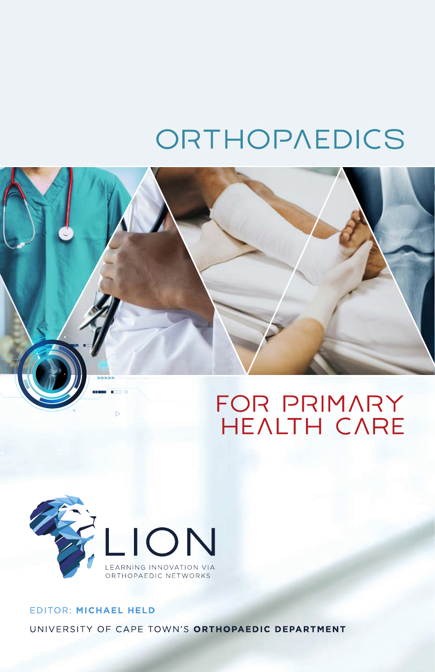# ORTHOPAEDICS





### EDITOR: MICHAEL HELD UNIVERSITY OF CAPE TOWN'S ORTHOPAEDIC DEPARTMENT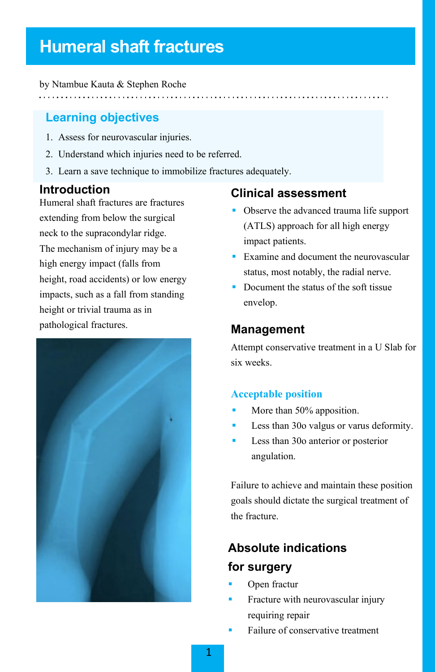## **Humeral shaft fractures**

by Ntambue Kauta & Stephen Roche

### **Learning objectives**

- 1. Assess for neurovascular injuries.
- 2. Understand which injuries need to be referred.
- 3. Learn a save technique to immobilize fractures adequately.

### **Introduction**

Humeral shaft fractures are fractures extending from below the surgical neck to the supracondylar ridge. The mechanism of injury may be a high energy impact (falls from height, road accidents) or low energy impacts, such as a fall from standing height or trivial trauma as in pathological fractures.



### **Clinical assessment**

- Observe the advanced trauma life support (ATLS) approach for all high energy impact patients.
- Examine and document the neurovascular status, most notably, the radial nerve.
- Document the status of the soft tissue envelop.

### **Management**

Attempt conservative treatment in a U Slab for six weeks.

### **Acceptable position**

- More than 50% apposition.
- Less than 30o valgus or varus deformity.
- Less than 30o anterior or posterior angulation.

Failure to achieve and maintain these position goals should dictate the surgical treatment of the fracture.

### **Absolute indications for surgery**

- Open fractur
- Fracture with neurovascular injury requiring repair
- Failure of conservative treatment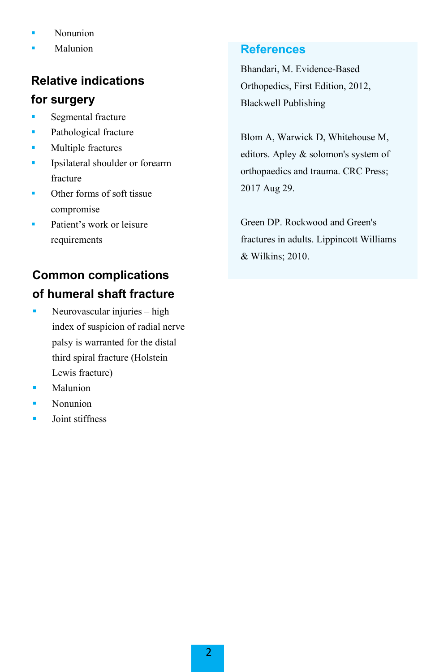- **Nonunion**
- Malunion

### **Relative indications**

### **for surgery**

- **Segmental fracture**
- Pathological fracture
- **Multiple fractures**
- **Ipsilateral shoulder or forearm** fracture
- Other forms of soft tissue compromise
- Patient's work or leisure requirements

### **Common complications of humeral shaft fracture**

- Neurovascular injuries high index of suspicion of radial nerve palsy is warranted for the distal third spiral fracture (Holstein Lewis fracture)
- Malunion
- Nonunion
- Joint stiffness

### **References**

Bhandari, M. Evidence-Based Orthopedics, First Edition, 2012, Blackwell Publishing

Blom A, Warwick D, Whitehouse M, editors. Apley & solomon's system of orthopaedics and trauma. CRC Press; 2017 Aug 29.

Green DP. Rockwood and Green's fractures in adults. Lippincott Williams & Wilkins; 2010.